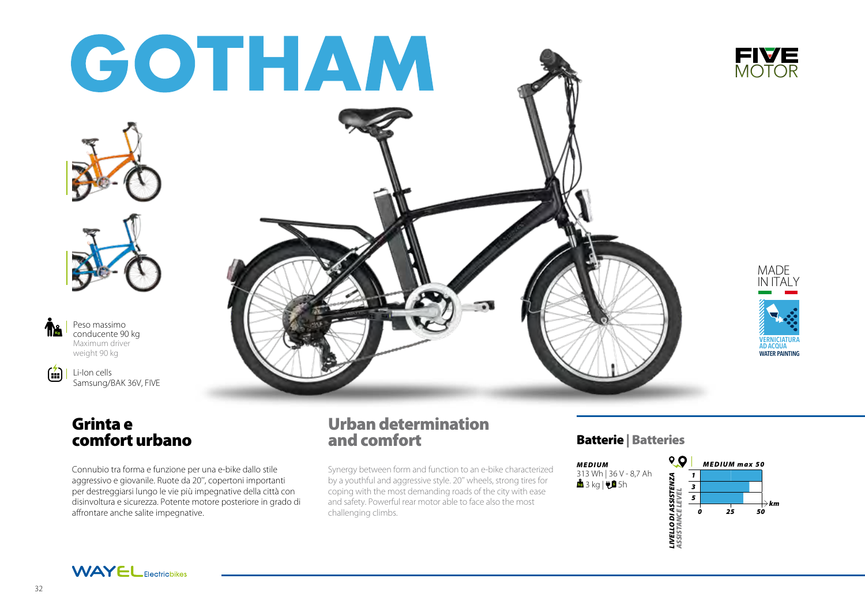

# Grinta e comfort urbano

Connubio tra forma e funzione per una e-bike dallo stile aggressivo e giovanile. Ruote da 20'', copertoni importanti per destreggiarsi lungo le vie più impegnative della città con disinvoltura e sicurezza. Potente motore posteriore in grado di affrontare anche salite impegnative.

# Urban determination and comfort

Synergy between form and function to an e-bike characterized by a youthful and aggressive style. 20'' wheels, strong tires for coping with the most demanding roads of the city with ease and safety. Powerful rear motor able to face also the most challenging climbs.

# Batterie | Batteries





Kg

倫